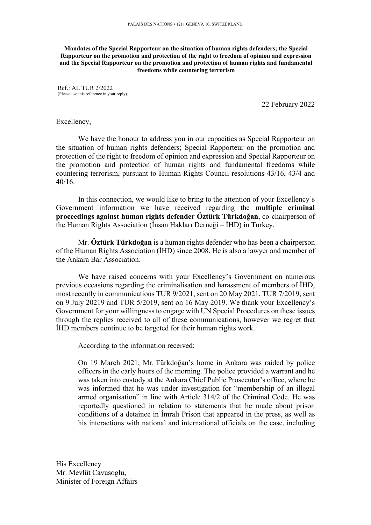**Mandates of the Special Rapporteur on the situation of human rights defenders; the Special Rapporteur on the promotion and protection of the right to freedom of opinion and expression and the Special Rapporteur on the promotion and protection of human rights and fundamental freedoms while countering terrorism**

Ref.: AL TUR 2/2022 (Please use this reference in your reply)

22 February 2022

## Excellency,

We have the honour to address you in our capacities as Special Rapporteur on the situation of human rights defenders; Special Rapporteur on the promotion and protection of the right to freedom of opinion and expression and Special Rapporteur on the promotion and protection of human rights and fundamental freedoms while countering terrorism, pursuant to Human Rights Council resolutions 43/16, 43/4 and 40/16.

In this connection, we would like to bring to the attention of your Excellency's Government information we have received regarding the **multiple criminal proceedings against human rights defender Öztürk Türkdoğan**, co-chairperson of the Human Rights Association (İnsan Hakları Derneği – İHD) in Turkey.

Mr. **Öztürk Türkdoğan** is a human rights defender who has been a chairperson of the Human Rights Association (İHD) since 2008. He is also a lawyer and member of the Ankara Bar Association.

We have raised concerns with your Excellency's Government on numerous previous occasions regarding the criminalisation and harassment of members of İHD, most recently in communications TUR 9/2021, sent on 20 May 2021, TUR 7/2019, sent on 9 July 20219 and TUR 5/2019, sent on 16 May 2019. We thank your Excellency's Government for your willingness to engage with UN Special Procedures on these issues through the replies received to all of these communications, however we regret that İHD members continue to be targeted for their human rights work.

According to the information received:

On 19 March 2021, Mr. Türkdoğan's home in Ankara was raided by police officers in the early hours of the morning. The police provided a warrant and he was taken into custody at the Ankara Chief Public Prosecutor's office, where he was informed that he was under investigation for "membership of an illegal armed organisation" in line with Article 314/2 of the Criminal Code. He was reportedly questioned in relation to statements that he made about prison conditions of a detainee in İmralı Prison that appeared in the press, as well as his interactions with national and international officials on the case, including

His Excellency Mr. Mevlüt Cavusoglu, Minister of Foreign Affairs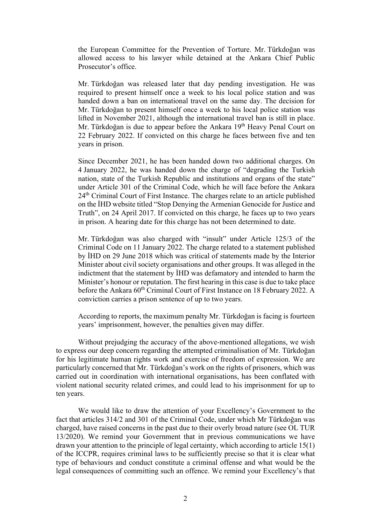the European Committee for the Prevention of Torture. Mr. Türkdoğan was allowed access to his lawyer while detained at the Ankara Chief Public Prosecutor's office.

Mr. Türkdoğan was released later that day pending investigation. He was required to present himself once a week to his local police station and was handed down a ban on international travel on the same day. The decision for Mr. Türkdoğan to present himself once a week to his local police station was lifted in November 2021, although the international travel ban is still in place. Mr. Türkdoğan is due to appear before the Ankara 19<sup>th</sup> Heavy Penal Court on 22 February 2022. If convicted on this charge he faces between five and ten years in prison.

Since December 2021, he has been handed down two additional charges. On 4 January 2022, he was handed down the charge of "degrading the Turkish nation, state of the Turkish Republic and institutions and organs of the state" under Article 301 of the Criminal Code, which he will face before the Ankara 24<sup>th</sup> Criminal Court of First Instance. The charges relate to an article published on the İHD website titled "Stop Denying the Armenian Genocide for Justice and Truth", on 24 April 2017. If convicted on this charge, he faces up to two years in prison. A hearing date for this charge has not been determined to date.

Mr. Türkdoğan was also charged with "insult" under Article 125/3 of the Criminal Code on 11 January 2022. The charge related to a statement published by İHD on 29 June 2018 which was critical of statements made by the Interior Minister about civil society organisations and other groups. It was alleged in the indictment that the statement by İHD was defamatory and intended to harm the Minister's honour or reputation. The first hearing in this case is due to take place before the Ankara  $60^{th}$  Criminal Court of First Instance on 18 February 2022. A conviction carries a prison sentence of up to two years.

According to reports, the maximum penalty Mr. Türkdoğan is facing is fourteen years' imprisonment, however, the penalties given may differ.

Without prejudging the accuracy of the above-mentioned allegations, we wish to express our deep concern regarding the attempted criminalisation of Mr. Türkdoğan for his legitimate human rights work and exercise of freedom of expression. We are particularly concerned that Mr. Türkdoğan's work on the rights of prisoners, which was carried out in coordination with international organisations, has been conflated with violent national security related crimes, and could lead to his imprisonment for up to ten years.

We would like to draw the attention of your Excellency's Government to the fact that articles 314/2 and 301 of the Criminal Code, under which Mr Türkdoğan was charged, have raised concerns in the past due to their overly broad nature (see OL TUR 13/2020). We remind your Government that in previous communications we have drawn your attention to the principle of legal certainty, which according to article 15(1) of the ICCPR, requires criminal laws to be sufficiently precise so that it is clear what type of behaviours and conduct constitute a criminal offense and what would be the legal consequences of committing such an offence. We remind your Excellency's that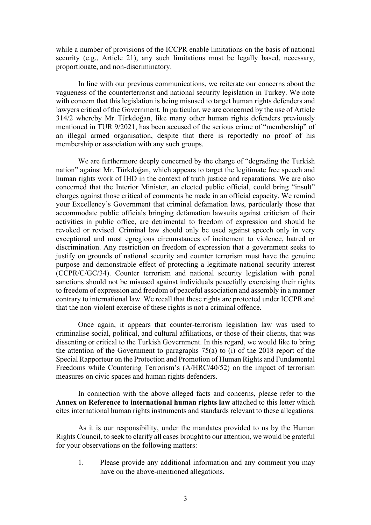while a number of provisions of the ICCPR enable limitations on the basis of national security (e.g., Article 21), any such limitations must be legally based, necessary, proportionate, and non-discriminatory.

In line with our previous communications, we reiterate our concerns about the vagueness of the counterterrorist and national security legislation in Turkey. We note with concern that this legislation is being misused to target human rights defenders and lawyers critical of the Government. In particular, we are concerned by the use of Article 314/2 whereby Mr. Türkdoğan, like many other human rights defenders previously mentioned in TUR 9/2021, has been accused of the serious crime of "membership" of an illegal armed organisation, despite that there is reportedly no proof of his membership or association with any such groups.

We are furthermore deeply concerned by the charge of "degrading the Turkish nation" against Mr. Türkdoğan, which appears to target the legitimate free speech and human rights work of İHD in the context of truth justice and reparations. We are also concerned that the Interior Minister, an elected public official, could bring "insult" charges against those critical of comments he made in an official capacity. We remind your Excellency's Government that criminal defamation laws, particularly those that accommodate public officials bringing defamation lawsuits against criticism of their activities in public office, are detrimental to freedom of expression and should be revoked or revised. Criminal law should only be used against speech only in very exceptional and most egregious circumstances of incitement to violence, hatred or discrimination. Any restriction on freedom of expression that a government seeks to justify on grounds of national security and counter terrorism must have the genuine purpose and demonstrable effect of protecting a legitimate national security interest (CCPR/C/GC/34). Counter terrorism and national security legislation with penal sanctions should not be misused against individuals peacefully exercising their rights to freedom of expression and freedom of peaceful association and assembly in a manner contrary to international law. We recall that these rights are protected under ICCPR and that the non-violent exercise of these rights is not a criminal offence.

Once again, it appears that counter-terrorism legislation law was used to criminalise social, political, and cultural affiliations, or those of their clients, that was dissenting or critical to the Turkish Government. In this regard, we would like to bring the attention of the Government to paragraphs 75(a) to (i) of the 2018 report of the Special Rapporteur on the Protection and Promotion of Human Rights and Fundamental Freedoms while Countering Terrorism's (A/HRC/40/52) on the impact of terrorism measures on civic spaces and human rights defenders.

In connection with the above alleged facts and concerns, please refer to the **Annex on Reference to international human rights law** attached to this letter which cites international human rights instruments and standards relevant to these allegations.

As it is our responsibility, under the mandates provided to us by the Human Rights Council, to seek to clarify all cases brought to our attention, we would be grateful for your observations on the following matters:

1. Please provide any additional information and any comment you may have on the above-mentioned allegations.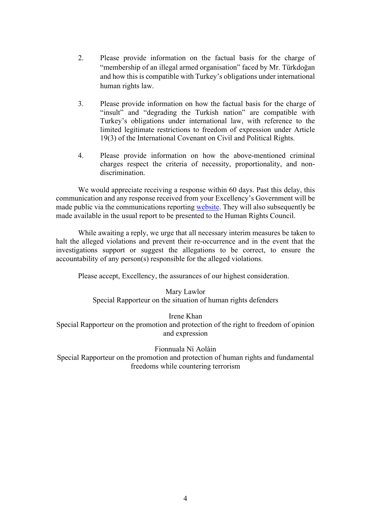- 2. Please provide information on the factual basis for the charge of "membership of an illegal armed organisation" faced by Mr. Türkdoğan and how this is compatible with Turkey's obligations under international human rights law.
- 3. Please provide information on how the factual basis for the charge of "insult" and "degrading the Turkish nation" are compatible with Turkey's obligations under international law, with reference to the limited legitimate restrictions to freedom of expression under Article 19(3) of the International Covenant on Civil and Political Rights.
- 4. Please provide information on how the above-mentioned criminal charges respect the criteria of necessity, proportionality, and nondiscrimination.

We would appreciate receiving a response within 60 days. Past this delay, this communication and any response received from your Excellency's Government will be made public via the communications reporting [website.](https://spcommreports.ohchr.org/) They will also subsequently be made available in the usual report to be presented to the Human Rights Council.

While awaiting a reply, we urge that all necessary interim measures be taken to halt the alleged violations and prevent their re-occurrence and in the event that the investigations support or suggest the allegations to be correct, to ensure the accountability of any person(s) responsible for the alleged violations.

Please accept, Excellency, the assurances of our highest consideration.

## Mary Lawlor

Special Rapporteur on the situation of human rights defenders

# Irene Khan

Special Rapporteur on the promotion and protection of the right to freedom of opinion and expression

## Fionnuala Ní Aoláin

Special Rapporteur on the promotion and protection of human rights and fundamental freedoms while countering terrorism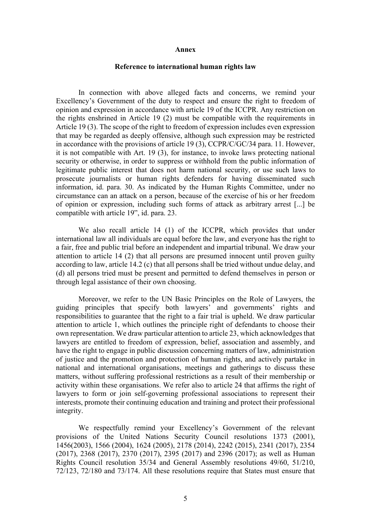#### **Annex**

#### **Reference to international human rights law**

In connection with above alleged facts and concerns, we remind your Excellency's Government of the duty to respect and ensure the right to freedom of opinion and expression in accordance with article 19 of the ICCPR. Any restriction on the rights enshrined in Article 19 (2) must be compatible with the requirements in Article 19 (3). The scope of the right to freedom of expression includes even expression that may be regarded as deeply offensive, although such expression may be restricted in accordance with the provisions of article 19 (3), CCPR/C/GC/34 para. 11. However, it is not compatible with Art. 19 (3), for instance, to invoke laws protecting national security or otherwise, in order to suppress or withhold from the public information of legitimate public interest that does not harm national security, or use such laws to prosecute journalists or human rights defenders for having disseminated such information, id. para. 30. As indicated by the Human Rights Committee, under no circumstance can an attack on a person, because of the exercise of his or her freedom of opinion or expression, including such forms of attack as arbitrary arrest [...] be compatible with article 19", id. para. 23.

We also recall article 14 (1) of the ICCPR, which provides that under international law all individuals are equal before the law, and everyone has the right to a fair, free and public trial before an independent and impartial tribunal. We draw your attention to article 14 (2) that all persons are presumed innocent until proven guilty according to law, article 14.2 (c) that all persons shall be tried without undue delay, and (d) all persons tried must be present and permitted to defend themselves in person or through legal assistance of their own choosing.

Moreover, we refer to the UN Basic Principles on the Role of Lawyers, the guiding principles that specify both lawyers' and governments' rights and responsibilities to guarantee that the right to a fair trial is upheld. We draw particular attention to article 1, which outlines the principle right of defendants to choose their own representation. We draw particular attention to article 23, which acknowledges that lawyers are entitled to freedom of expression, belief, association and assembly, and have the right to engage in public discussion concerning matters of law, administration of justice and the promotion and protection of human rights, and actively partake in national and international organisations, meetings and gatherings to discuss these matters, without suffering professional restrictions as a result of their membership or activity within these organisations. We refer also to article 24 that affirms the right of lawyers to form or join self-governing professional associations to represent their interests, promote their continuing education and training and protect their professional integrity.

We respectfully remind your Excellency's Government of the relevant provisions of the United Nations Security Council resolutions 1373 (2001), 1456(2003), 1566 (2004), 1624 (2005), 2178 (2014), 2242 (2015), 2341 (2017), 2354 (2017), 2368 (2017), 2370 (2017), 2395 (2017) and 2396 (2017); as well as Human Rights Council resolution 35/34 and General Assembly resolutions 49/60, 51/210, 72/123, 72/180 and 73/174. All these resolutions require that States must ensure that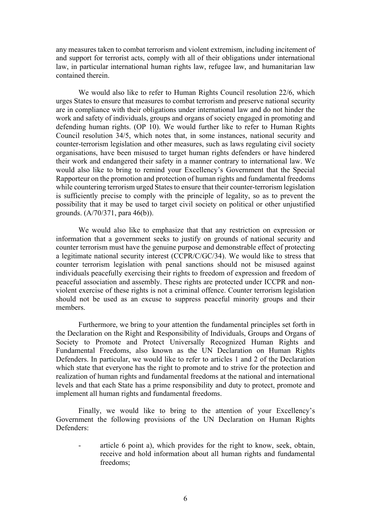any measures taken to combat terrorism and violent extremism, including incitement of and support for terrorist acts, comply with all of their obligations under international law, in particular international human rights law, refugee law, and humanitarian law contained therein.

We would also like to refer to Human Rights Council resolution 22/6, which urges States to ensure that measures to combat terrorism and preserve national security are in compliance with their obligations under international law and do not hinder the work and safety of individuals, groups and organs of society engaged in promoting and defending human rights. (OP 10). We would further like to refer to Human Rights Council resolution 34/5, which notes that, in some instances, national security and counter-terrorism legislation and other measures, such as laws regulating civil society organisations, have been misused to target human rights defenders or have hindered their work and endangered their safety in a manner contrary to international law. We would also like to bring to remind your Excellency's Government that the Special Rapporteur on the promotion and protection of human rights and fundamental freedoms while countering terrorism urged States to ensure that their counter-terrorism legislation is sufficiently precise to comply with the principle of legality, so as to prevent the possibility that it may be used to target civil society on political or other unjustified grounds. (A/70/371, para 46(b)).

We would also like to emphasize that that any restriction on expression or information that a government seeks to justify on grounds of national security and counter terrorism must have the genuine purpose and demonstrable effect of protecting a legitimate national security interest (CCPR/C/GC/34). We would like to stress that counter terrorism legislation with penal sanctions should not be misused against individuals peacefully exercising their rights to freedom of expression and freedom of peaceful association and assembly. These rights are protected under ICCPR and nonviolent exercise of these rights is not a criminal offence. Counter terrorism legislation should not be used as an excuse to suppress peaceful minority groups and their members.

Furthermore, we bring to your attention the fundamental principles set forth in the Declaration on the Right and Responsibility of Individuals, Groups and Organs of Society to Promote and Protect Universally Recognized Human Rights and Fundamental Freedoms, also known as the UN Declaration on Human Rights Defenders. In particular, we would like to refer to articles 1 and 2 of the Declaration which state that everyone has the right to promote and to strive for the protection and realization of human rights and fundamental freedoms at the national and international levels and that each State has a prime responsibility and duty to protect, promote and implement all human rights and fundamental freedoms.

Finally, we would like to bring to the attention of your Excellency's Government the following provisions of the UN Declaration on Human Rights Defenders:

article 6 point a), which provides for the right to know, seek, obtain, receive and hold information about all human rights and fundamental freedoms;